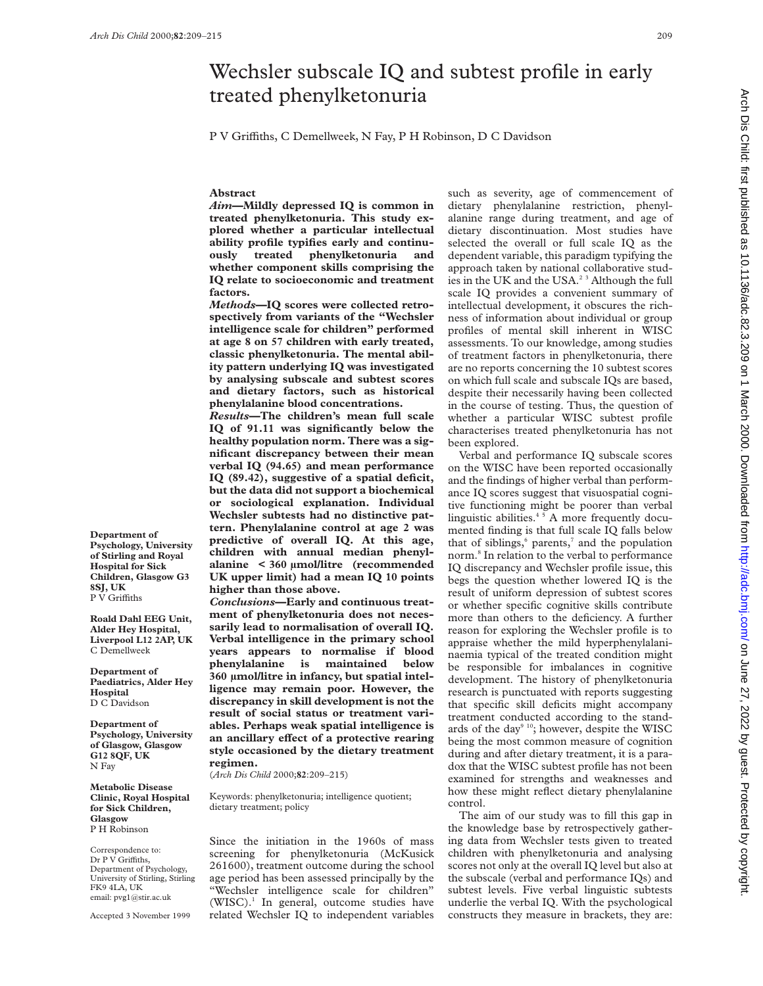# Wechsler subscale IQ and subtest profile in early treated phenylketonuria

P V Griffiths, C Demellweek, N Fay, P H Robinson, D C Davidson

# **Abstract**

*Aim***—Mildly depressed IQ is common in treated phenylketonuria. This study explored whether a particular intellectual ability profile typifies early and continuously treated phenylketonuria and whether component skills comprising the IQ relate to socioeconomic and treatment factors.**

*Methods***—IQ scores were collected retrospectively from variants of the "Wechsler intelligence scale for children" performed at age 8 on 57 children with early treated, classic phenylketonuria. The mental ability pattern underlying IQ was investigated by analysing subscale and subtest scores and dietary factors, such as historical phenylalanine blood concentrations.**

*Results***—The children's mean full scale IQ of 91.11 was significantly below the healthy population norm. There was a significant discrepancy between their mean verbal IQ (94.65) and mean performance IQ (89.42), suggestive of a spatial deficit, but the data did not support a biochemical or sociological explanation. Individual Wechsler subtests had no distinctive pattern. Phenylalanine control at age 2 was predictive of overall IQ. At this age, children with annual median phenylalanine < 360 µmol/litre (recommended UK upper limit) had a mean IQ 10 points higher than those above.**

*Conclusions***—Early and continuous treatment of phenylketonuria does not necessarily lead to normalisation of overall IQ. Verbal intelligence in the primary school years appears to normalise if blood phenylalanine is maintained below 360 µmol/litre in infancy, but spatial intelligence may remain poor. However, the discrepancy in skill development is not the result of social status or treatment variables. Perhaps weak spatial intelligence is** an ancillary effect of a protective rearing **style occasioned by the dietary treatment regimen.**

(*Arch Dis Child* 2000;**82**:209–215)

Keywords: phenylketonuria; intelligence quotient; dietary treatment; policy

Since the initiation in the 1960s of mass screening for phenylketonuria (McKusick 261600), treatment outcome during the school age period has been assessed principally by the "Wechsler intelligence scale for children"  $(WISC)$ .<sup>1</sup> In general, outcome studies have related Wechsler IQ to independent variables such as severity, age of commencement of dietary phenylalanine restriction, phenylalanine range during treatment, and age of dietary discontinuation. Most studies have selected the overall or full scale IQ as the dependent variable, this paradigm typifying the approach taken by national collaborative studies in the UK and the USA.<sup>23</sup> Although the full scale IQ provides a convenient summary of intellectual development, it obscures the richness of information about individual or group profiles of mental skill inherent in WISC assessments. To our knowledge, among studies of treatment factors in phenylketonuria, there are no reports concerning the 10 subtest scores on which full scale and subscale IQs are based, despite their necessarily having been collected in the course of testing. Thus, the question of whether a particular WISC subtest profile characterises treated phenylketonuria has not been explored.

Verbal and performance IQ subscale scores on the WISC have been reported occasionally and the findings of higher verbal than performance IQ scores suggest that visuospatial cognitive functioning might be poorer than verbal linguistic abilities. $45$  A more frequently documented finding is that full scale IQ falls below that of siblings, $6$  parents, $7$  and the population norm.<sup>8</sup> In relation to the verbal to performance IQ discrepancy and Wechsler profile issue, this begs the question whether lowered IQ is the result of uniform depression of subtest scores or whether specific cognitive skills contribute more than others to the deficiency. A further reason for exploring the Wechsler profile is to appraise whether the mild hyperphenylalaninaemia typical of the treated condition might be responsible for imbalances in cognitive development. The history of phenylketonuria research is punctuated with reports suggesting that specific skill deficits might accompany treatment conducted according to the standards of the day<sup>9 10</sup>; however, despite the WISC being the most common measure of cognition during and after dietary treatment, it is a paradox that the WISC subtest profile has not been examined for strengths and weaknesses and how these might reflect dietary phenylalanine control.

The aim of our study was to fill this gap in the knowledge base by retrospectively gathering data from Wechsler tests given to treated children with phenylketonuria and analysing scores not only at the overall IQ level but also at the subscale (verbal and performance IQs) and subtest levels. Five verbal linguistic subtests underlie the verbal IQ. With the psychological constructs they measure in brackets, they are:

**Department of Psychology, University of Stirling and Royal Hospital for Sick Children, Glasgow G3 8SJ, UK** P V Griffiths

**Roald Dahl EEG Unit, Alder Hey Hospital, Liverpool L12 2AP, UK** C Demellweek

**Department of Paediatrics, Alder Hey Hospital** D C Davidson

**Department of Psychology, University of Glasgow, Glasgow G12 8QF, UK** N Fay

**Metabolic Disease Clinic, Royal Hospital for Sick Children, Glasgow** P H Robinson

Correspondence to:  $Dr P V$  Griffiths Department of Psychology, University of Stirling, Stirling FK9 4LA, UK email: pvg1@stir.ac.uk

Accepted 3 November 1999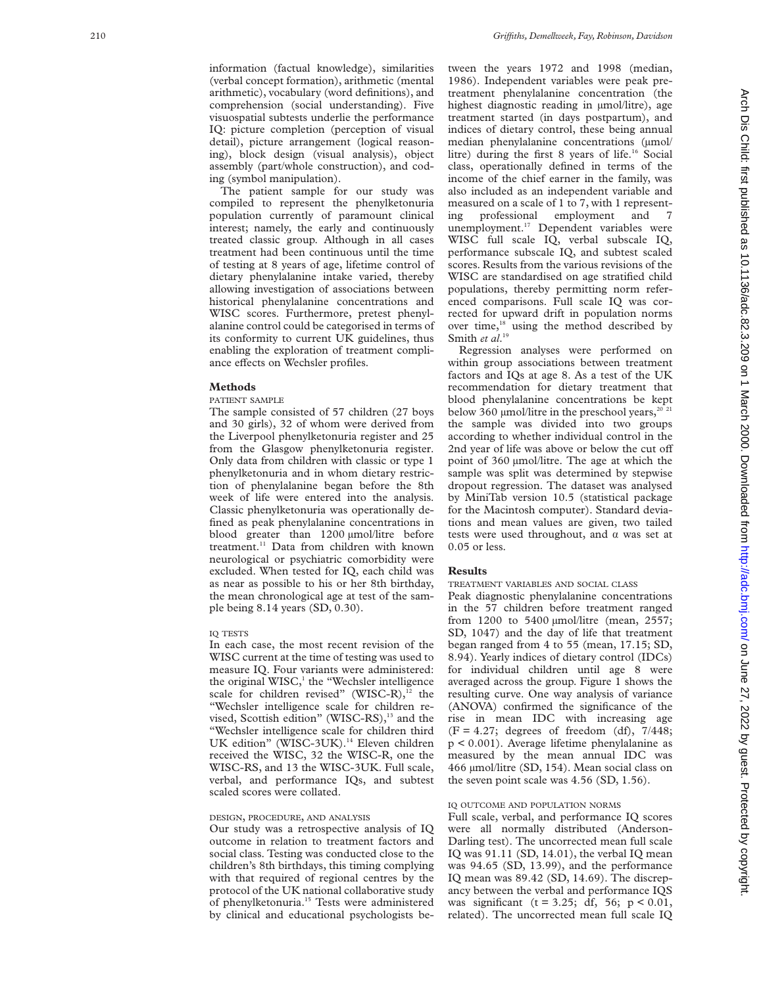information (factual knowledge), similarities (verbal concept formation), arithmetic (mental arithmetic), vocabulary (word definitions), and comprehension (social understanding). Five visuospatial subtests underlie the performance IQ: picture completion (perception of visual detail), picture arrangement (logical reasoning), block design (visual analysis), object assembly (part/whole construction), and coding (symbol manipulation).

The patient sample for our study was compiled to represent the phenylketonuria population currently of paramount clinical interest; namely, the early and continuously treated classic group. Although in all cases treatment had been continuous until the time of testing at 8 years of age, lifetime control of dietary phenylalanine intake varied, thereby allowing investigation of associations between historical phenylalanine concentrations and WISC scores. Furthermore, pretest phenylalanine control could be categorised in terms of its conformity to current UK guidelines, thus enabling the exploration of treatment compliance effects on Wechsler profiles.

## **Methods**

#### PATIENT SAMPLE

The sample consisted of 57 children (27 boys and 30 girls), 32 of whom were derived from the Liverpool phenylketonuria register and 25 from the Glasgow phenylketonuria register. Only data from children with classic or type 1 phenylketonuria and in whom dietary restriction of phenylalanine began before the 8th week of life were entered into the analysis. Classic phenylketonuria was operationally defined as peak phenylalanine concentrations in blood greater than 1200 µmol/litre before treatment.<sup>11</sup> Data from children with known neurological or psychiatric comorbidity were excluded. When tested for IQ, each child was as near as possible to his or her 8th birthday, the mean chronological age at test of the sample being 8.14 years (SD, 0.30).

#### IQ TESTS

In each case, the most recent revision of the WISC current at the time of testing was used to measure IQ. Four variants were administered: the original WISC, <sup>1</sup> the "Wechsler intelligence scale for children revised" (WISC-R), $^{12}$  the "Wechsler intelligence scale for children revised, Scottish edition" (WISC-RS), $<sup>13</sup>$  and the</sup> "Wechsler intelligence scale for children third UK edition" (WISC-3UK).<sup>14</sup> Eleven children received the WISC, 32 the WISC-R, one the WISC-RS, and 13 the WISC-3UK. Full scale, verbal, and performance IQs, and subtest scaled scores were collated.

## DESIGN , PROCEDURE , AND ANALYSIS

Our study was a retrospective analysis of IQ outcome in relation to treatment factors and social class. Testing was conducted close to the children's 8th birthdays, this timing complying with that required of regional centres by the protocol of the UK national collaborative study of phenylketonuria.15 Tests were administered by clinical and educational psychologists be-

tween the years 1972 and 1998 (median, 1986). Independent variables were peak pretreatment phenylalanine concentration (the highest diagnostic reading in  $\mu$ mol/litre), age treatment started (in days postpartum), and indices of dietary control, these being annual median phenylalanine concentrations (umol/ litre) during the first 8 years of life.<sup>16</sup> Social class, operationally defined in terms of the income of the chief earner in the family, was also included as an independent variable and measured on a scale of 1 to 7, with 1 representing professional employment and 7 unemployment.<sup>17</sup> Dependent variables were WISC full scale IQ, verbal subscale IQ, performance subscale IQ, and subtest scaled scores. Results from the various revisions of the WISC are standardised on age stratified child populations, thereby permitting norm referenced comparisons. Full scale IQ was corrected for upward drift in population norms over time, $18$  using the method described by Smith *et al*.<sup>19</sup>

Regression analyses were performed on within group associations between treatment factors and IQs at age 8. As a test of the UK recommendation for dietary treatment that blood phenylalanine concentrations be kept below 360  $\mu$ mol/litre in the preschool years,<sup>20 21</sup> the sample was divided into two groups according to whether individual control in the 2nd year of life was above or below the cut off point of 360 µmol/litre. The age at which the sample was split was determined by stepwise dropout regression. The dataset was analysed by MiniTab version 10.5 (statistical package for the Macintosh computer). Standard deviations and mean values are given, two tailed tests were used throughout, and  $\alpha$  was set at 0.05 or less.

#### **Results**

#### TREATMENT VARIABLES AND SOCIAL CLASS

Peak diagnostic phenylalanine concentrations in the 57 children before treatment ranged from 1200 to 5400 µmol/litre (mean, 2557; SD, 1047) and the day of life that treatment began ranged from 4 to 55 (mean, 17.15; SD, 8.94). Yearly indices of dietary control (IDCs) for individual children until age 8 were averaged across the group. Figure 1 shows the resulting curve. One way analysis of variance (ANOVA) confirmed the significance of the rise in mean IDC with increasing age  $(F = 4.27;$  degrees of freedom (df),  $7/448;$ p < 0.001). Average lifetime phenylalanine as measured by the mean annual IDC was 466 µmol/litre (SD, 154). Mean social class on the seven point scale was 4.56 (SD, 1.56).

#### IQ OUTCOME AND POPULATION NORMS

Full scale, verbal, and performance IQ scores were all normally distributed (Anderson-Darling test). The uncorrected mean full scale IQ was 91.11 (SD, 14.01), the verbal IQ mean was 94.65 (SD, 13.99), and the performance IQ mean was 89.42 (SD, 14.69). The discrepancy between the verbal and performance IQS was significant ( $t = 3.25$ ; df, 56;  $p < 0.01$ , related). The uncorrected mean full scale IQ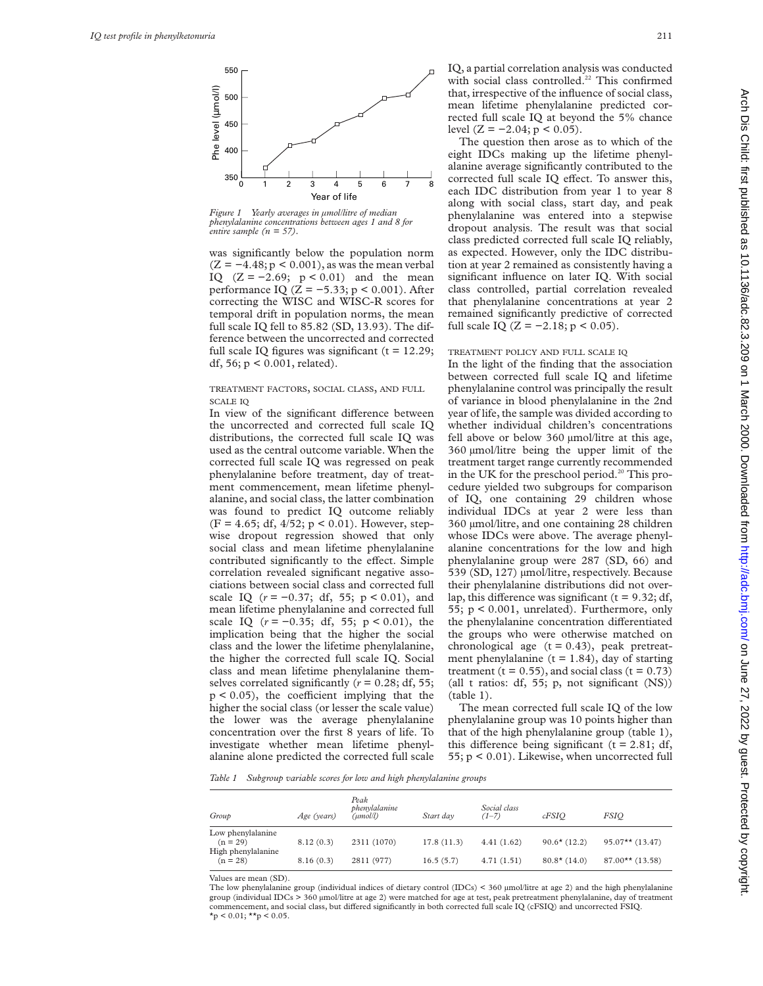

*Figure 1 Yearly averages in µmol/litre of median phenylalanine concentrations between ages 1 and 8 for entire sample (n = 57).*

was significantly below the population norm  $(Z = -4.48; p < 0.001)$ , as was the mean verbal IQ  $(Z = -2.69; p < 0.01)$  and the mean performance IQ ( $Z = -5.33$ ; p < 0.001). After correcting the WISC and WISC-R scores for temporal drift in population norms, the mean full scale IQ fell to 85.82 (SD, 13.93). The difference between the uncorrected and corrected full scale IQ figures was significant  $(t = 12.29)$ ; df,  $56$ ;  $p < 0.001$ , related).

# TREATMENT FACTORS, SOCIAL CLASS, AND FULL SCALE IQ

In view of the significant difference between the uncorrected and corrected full scale IQ distributions, the corrected full scale IQ was used as the central outcome variable. When the corrected full scale IQ was regressed on peak phenylalanine before treatment, day of treatment commencement, mean lifetime phenylalanine, and social class, the latter combination was found to predict IQ outcome reliably  $(F = 4.65; df, \frac{4}{52}; p < 0.01)$ . However, stepwise dropout regression showed that only social class and mean lifetime phenylalanine contributed significantly to the effect. Simple correlation revealed significant negative associations between social class and corrected full scale IQ  $(r = -0.37; df, 55; p < 0.01)$ , and mean lifetime phenylalanine and corrected full scale IQ  $(r = -0.35; df, 55; p < 0.01)$ , the implication being that the higher the social class and the lower the lifetime phenylalanine, the higher the corrected full scale IQ. Social class and mean lifetime phenylalanine themselves correlated significantly ( $r = 0.28$ ; df, 55;  $p < 0.05$ ), the coefficient implying that the higher the social class (or lesser the scale value) the lower was the average phenylalanine concentration over the first 8 years of life. To investigate whether mean lifetime phenylalanine alone predicted the corrected full scale IQ, a partial correlation analysis was conducted with social class controlled.<sup>22</sup> This confirmed that, irrespective of the influence of social class, mean lifetime phenylalanine predicted corrected full scale IQ at beyond the 5% chance level  $(Z = -2.04; p < 0.05)$ .

The question then arose as to which of the eight IDCs making up the lifetime phenylalanine average significantly contributed to the corrected full scale IQ effect. To answer this, each IDC distribution from year 1 to year 8 along with social class, start day, and peak phenylalanine was entered into a stepwise dropout analysis. The result was that social class predicted corrected full scale IQ reliably, as expected. However, only the IDC distribution at year 2 remained as consistently having a significant influence on later IQ. With social class controlled, partial correlation revealed that phenylalanine concentrations at year 2 remained significantly predictive of corrected full scale IQ ( $Z = -2.18$ ; p < 0.05).

# TREATMENT POLICY AND FULL SCALE IQ

In the light of the finding that the association between corrected full scale IQ and lifetime phenylalanine control was principally the result of variance in blood phenylalanine in the 2nd year of life, the sample was divided according to whether individual children's concentrations fell above or below 360 µmol/litre at this age, 360 µmol/litre being the upper limit of the treatment target range currently recommended in the UK for the preschool period.<sup>20</sup> This procedure yielded two subgroups for comparison of IQ, one containing 29 children whose individual IDCs at year 2 were less than 360 µmol/litre, and one containing 28 children whose IDCs were above. The average phenylalanine concentrations for the low and high phenylalanine group were 287 (SD, 66) and 539 (SD, 127) µmol/litre, respectively. Because their phenylalanine distributions did not overlap, this difference was significant ( $t = 9.32$ ; df, 55; p < 0.001, unrelated). Furthermore, only the phenylalanine concentration differentiated the groups who were otherwise matched on chronological age  $(t = 0.43)$ , peak pretreatment phenylalanine  $(t = 1.84)$ , day of starting treatment ( $t = 0.55$ ), and social class ( $t = 0.73$ ) (all t ratios: df, 55; p, not significant (NS)) (table 1).

The mean corrected full scale IQ of the low phenylalanine group was 10 points higher than that of the high phenylalanine group (table 1), this difference being significant ( $t = 2.81$ ; df, 55; p < 0.01). Likewise, when uncorrected full

*Table 1 Subgroup variable scores for low and high phenylalanine groups*

| Group                            | Age (years) | Peak<br>phenylalanine<br>(umol/l) | Start day  | Social class<br>$(1 - 7)$ | cFSIO         | <i>FSIO</i>       |
|----------------------------------|-------------|-----------------------------------|------------|---------------------------|---------------|-------------------|
| Low phenylalanine<br>$(n = 29)$  | 8.12(0.3)   | 2311 (1070)                       | 17.8(11.3) | 4.41(1.62)                | $90.6*(12.2)$ | $95.07**$ (13.47) |
| High phenylalanine<br>$(n = 28)$ | 8.16(0.3)   | 2811 (977)                        | 16.5(5.7)  | 4.71(1.51)                | $80.8*(14.0)$ | $87.00**$ (13.58) |

Values are mean (SD).

The low phenylalanine group (individual indices of dietary control (IDCs) < 360 µmol/litre at age 2) and the high phenylalanine group (individual IDCs > 360 µmol/litre at age 2) were matched for age at test, peak pretreatment phenylalanine, day of treatment commencement, and social class, but differed significantly in both corrected full scale IQ (cFSIQ) and uncorrected FSIQ.  $x_{\rm p}$  < 0.01;  $x_{\rm p}$  < 0.05.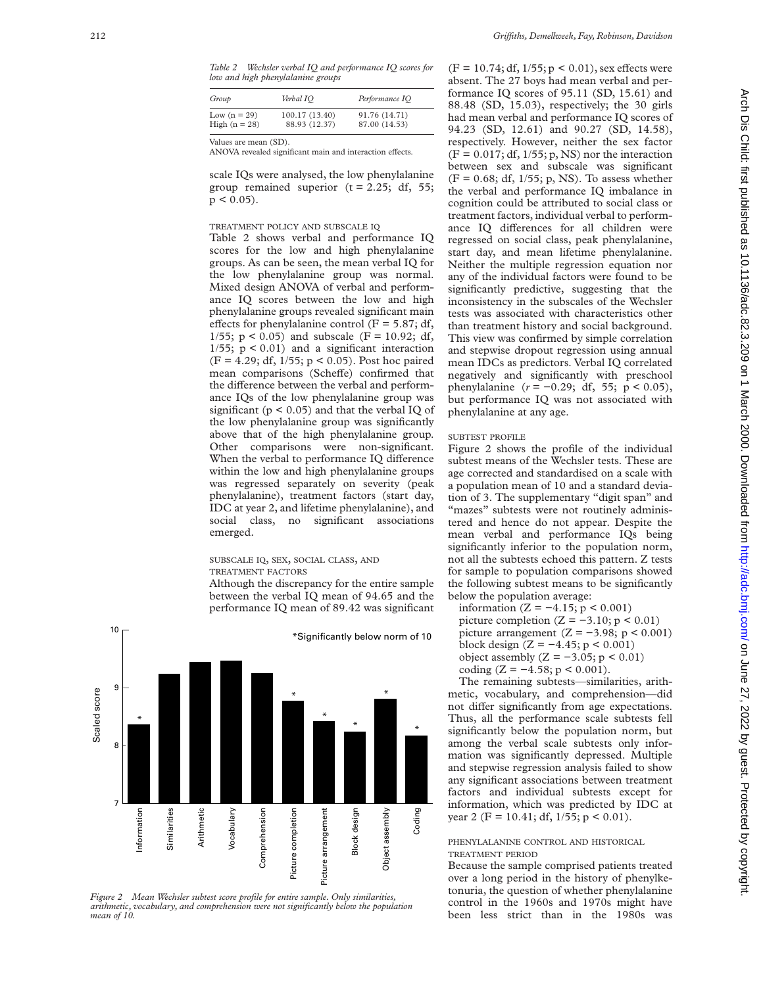*Table 2 Wechsler verbal IQ and performance IQ scores for low and high phenylalanine groups*

| Group                             | Verbal IO                       | Performance IQ                 |  |  |  |
|-----------------------------------|---------------------------------|--------------------------------|--|--|--|
| Low $(n = 29)$<br>High $(n = 28)$ | 100.17 (13.40)<br>88.93 (12.37) | 91.76 (14.71)<br>87.00 (14.53) |  |  |  |
| Values are mean (SD)              |                                 |                                |  |  |  |

ANOVA revealed significant main and interaction effects.

scale IQs were analysed, the low phenylalanine group remained superior  $(t = 2.25; df, 55;$  $p < 0.05$ ).

# TREATMENT POLICY AND SUBSCALE IQ

Table 2 shows verbal and performance IQ scores for the low and high phenylalanine groups. As can be seen, the mean verbal IQ for the low phenylalanine group was normal. Mixed design ANOVA of verbal and performance IQ scores between the low and high phenylalanine groups revealed significant main effects for phenylalanine control ( $F = 5.87$ ; df, 1/55;  $p < 0.05$ ) and subscale (F = 10.92; df,  $1/55$ ;  $p < 0.01$ ) and a significant interaction  $(F = 4.29; df, 1/55; p < 0.05)$ . Post hoc paired mean comparisons (Scheffe) confirmed that the difference between the verbal and performance IQs of the low phenylalanine group was significant ( $p < 0.05$ ) and that the verbal IQ of the low phenylalanine group was significantly above that of the high phenylalanine group. Other comparisons were non-significant. When the verbal to performance IQ difference within the low and high phenylalanine groups was regressed separately on severity (peak phenylalanine), treatment factors (start day, IDC at year 2, and lifetime phenylalanine), and social class, no significant associations emerged.

# SUBSCALE IQ, SEX, SOCIAL CLASS, AND TREATMENT FACTORS

Although the discrepancy for the entire sample between the verbal IQ mean of 94.65 and the performance IQ mean of 89.42 was significant



*Figure 2 Mean Wechsler subtest score profile for entire sample. Only similarities, arithmetic, vocabulary, and comprehension were not significantly below the population mean of 10.*

 $(F = 10.74; df, 1/55; p < 0.01)$ , sex effects were absent. The 27 boys had mean verbal and performance IQ scores of 95.11 (SD, 15.61) and 88.48 (SD, 15.03), respectively; the 30 girls had mean verbal and performance IQ scores of 94.23 (SD, 12.61) and 90.27 (SD, 14.58), respectively. However, neither the sex factor  $(F = 0.017; df, 1/55; p, NS)$  nor the interaction between sex and subscale was significant  $(F = 0.68; df, 1/55; p, NS)$ . To assess whether the verbal and performance IQ imbalance in cognition could be attributed to social class or treatment factors, individual verbal to performance IQ differences for all children were regressed on social class, peak phenylalanine, start day, and mean lifetime phenylalanine. Neither the multiple regression equation nor any of the individual factors were found to be significantly predictive, suggesting that the inconsistency in the subscales of the Wechsler tests was associated with characteristics other than treatment history and social background. This view was confirmed by simple correlation and stepwise dropout regression using annual mean IDCs as predictors. Verbal IQ correlated negatively and significantly with preschool phenylalanine (*r* = −0.29; df, 55; p < 0.05), but performance IQ was not associated with phenylalanine at any age.

## SUBTEST PROFILE

Figure 2 shows the profile of the individual subtest means of the Wechsler tests. These are age corrected and standardised on a scale with a population mean of 10 and a standard deviation of 3. The supplementary "digit span" and "mazes" subtests were not routinely administered and hence do not appear. Despite the mean verbal and performance IQs being significantly inferior to the population norm, not all the subtests echoed this pattern. Z tests for sample to population comparisons showed the following subtest means to be significantly below the population average:

information ( $Z = -4.15$ ;  $p < 0.001$ ) picture completion  $(Z = -3.10; p < 0.01)$ picture arrangement ( $Z = -3.98$ ; p < 0.001) block design  $(Z = -4.45; p < 0.001)$ object assembly  $(Z = -3.05; p < 0.01)$ coding  $(Z = -4.58; p < 0.001)$ .

The remaining subtests—similarities, arithmetic, vocabulary, and comprehension—did not differ significantly from age expectations. Thus, all the performance scale subtests fell significantly below the population norm, but among the verbal scale subtests only information was significantly depressed. Multiple and stepwise regression analysis failed to show any significant associations between treatment factors and individual subtests except for information, which was predicted by IDC at year 2 (F = 10.41; df,  $1/55$ ; p < 0.01).

## PHENYLALANINE CONTROL AND HISTORICAL TREATMENT PERIOD

Because the sample comprised patients treated over a long period in the history of phenylketonuria, the question of whether phenylalanine control in the 1960s and 1970s might have been less strict than in the 1980s was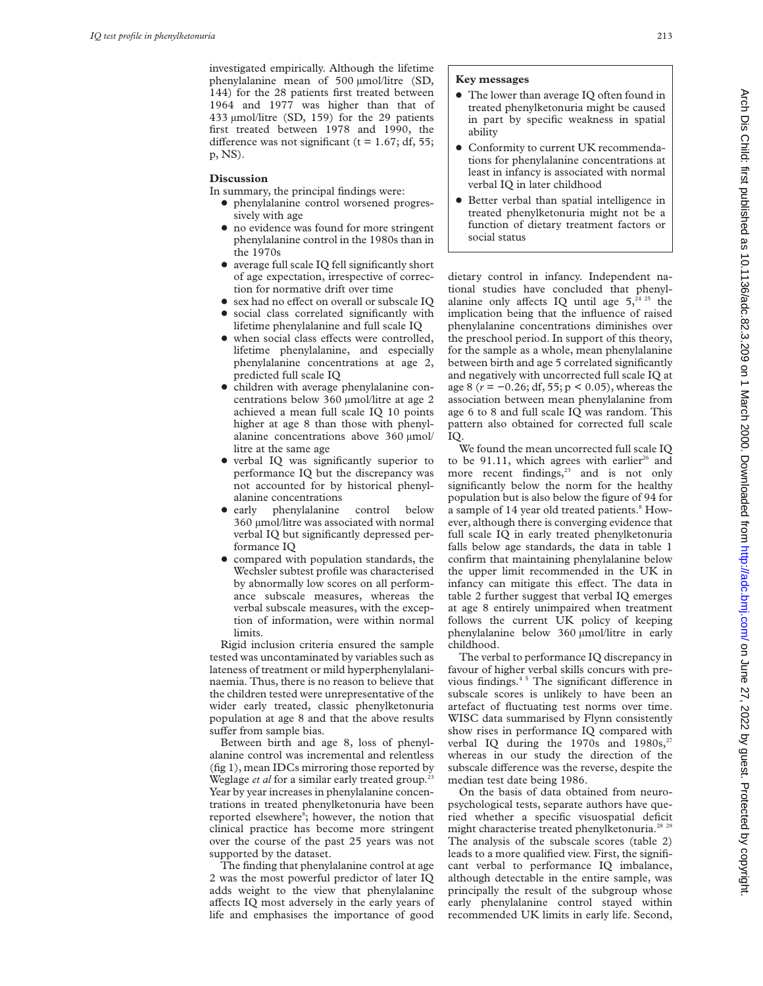investigated empirically. Although the lifetime phenylalanine mean of 500 µmol/litre (SD, 144) for the 28 patients first treated between 1964 and 1977 was higher than that of 433 µmol/litre (SD, 159) for the 29 patients first treated between 1978 and 1990, the difference was not significant ( $t = 1.67$ ; df, 55; p, NS).

## **Discussion**

In summary, the principal findings were:

- + phenylalanine control worsened progressively with age
- no evidence was found for more stringent phenylalanine control in the 1980s than in the 1970s
- average full scale IQ fell significantly short of age expectation, irrespective of correction for normative drift over time
- sex had no effect on overall or subscale IQ
- social class correlated significantly with lifetime phenylalanine and full scale IQ
- when social class effects were controlled, lifetime phenylalanine, and especially phenylalanine concentrations at age 2, predicted full scale IQ
- children with average phenylalanine concentrations below 360 µmol/litre at age 2 achieved a mean full scale IQ 10 points higher at age 8 than those with phenylalanine concentrations above 360 µmol/ litre at the same age
- verbal IQ was significantly superior to performance IQ but the discrepancy was not accounted for by historical phenylalanine concentrations
- early phenylalanine control below 360 µmol/litre was associated with normal verbal IQ but significantly depressed performance IQ
- compared with population standards, the Wechsler subtest profile was characterised by abnormally low scores on all performance subscale measures, whereas the verbal subscale measures, with the exception of information, were within normal limits.

Rigid inclusion criteria ensured the sample tested was uncontaminated by variables such as lateness of treatment or mild hyperphenylalaninaemia. Thus, there is no reason to believe that the children tested were unrepresentative of the wider early treated, classic phenylketonuria population at age 8 and that the above results suffer from sample bias.

Between birth and age 8, loss of phenylalanine control was incremental and relentless (fig 1), mean IDCs mirroring those reported by Weglage *et al* for a similar early treated group.<sup>22</sup> Year by year increases in phenylalanine concentrations in treated phenylketonuria have been reported elsewhere<sup>8</sup>; however, the notion that clinical practice has become more stringent over the course of the past 25 years was not supported by the dataset.

The finding that phenylalanine control at age 2 was the most powerful predictor of later IQ adds weight to the view that phenylalanine affects IQ most adversely in the early years of life and emphasises the importance of good

# **Key messages**

- The lower than average IQ often found in treated phenylketonuria might be caused in part by specific weakness in spatial ability
- Conformity to current UK recommendations for phenylalanine concentrations at least in infancy is associated with normal verbal IQ in later childhood
- Better verbal than spatial intelligence in treated phenylketonuria might not be a function of dietary treatment factors or social status

dietary control in infancy. Independent national studies have concluded that phenyl-<br>alanine only affects IQ until age  $5^{24}$  <sup>25</sup> the alanine only affects IQ until age  $5<sub>i</sub>$ <sup>2</sup> implication being that the influence of raised phenylalanine concentrations diminishes over the preschool period. In support of this theory, for the sample as a whole, mean phenylalanine between birth and age 5 correlated significantly and negatively with uncorrected full scale IQ at age 8 (*r* = −0.26; df, 55; p < 0.05), whereas the association between mean phenylalanine from age 6 to 8 and full scale IQ was random. This pattern also obtained for corrected full scale IQ.

We found the mean uncorrected full scale IQ to be  $91.11$ , which agrees with earlier<sup>26</sup> and more recent findings,<sup>23</sup> and is not only significantly below the norm for the healthy population but is also below the figure of 94 for a sample of 14 year old treated patients.<sup>8</sup> However, although there is converging evidence that full scale IQ in early treated phenylketonuria falls below age standards, the data in table 1 confirm that maintaining phenylalanine below the upper limit recommended in the UK in infancy can mitigate this effect. The data in table 2 further suggest that verbal IQ emerges at age 8 entirely unimpaired when treatment follows the current UK policy of keeping phenylalanine below 360 µmol/litre in early childhood.

The verbal to performance IQ discrepancy in favour of higher verbal skills concurs with previous findings.<sup>45</sup> The significant difference in subscale scores is unlikely to have been an artefact of fluctuating test norms over time. WISC data summarised by Flynn consistently show rises in performance IQ compared with verbal IQ during the 1970s and  $1980s$ ,<sup>2</sup> whereas in our study the direction of the subscale difference was the reverse, despite the median test date being 1986.

On the basis of data obtained from neuropsychological tests, separate authors have queried whether a specific visuospatial deficit might characterise treated phenylketonuria.<sup>28</sup> The analysis of the subscale scores (table 2) leads to a more qualified view. First, the significant verbal to performance IQ imbalance, although detectable in the entire sample, was principally the result of the subgroup whose early phenylalanine control stayed within recommended UK limits in early life. Second,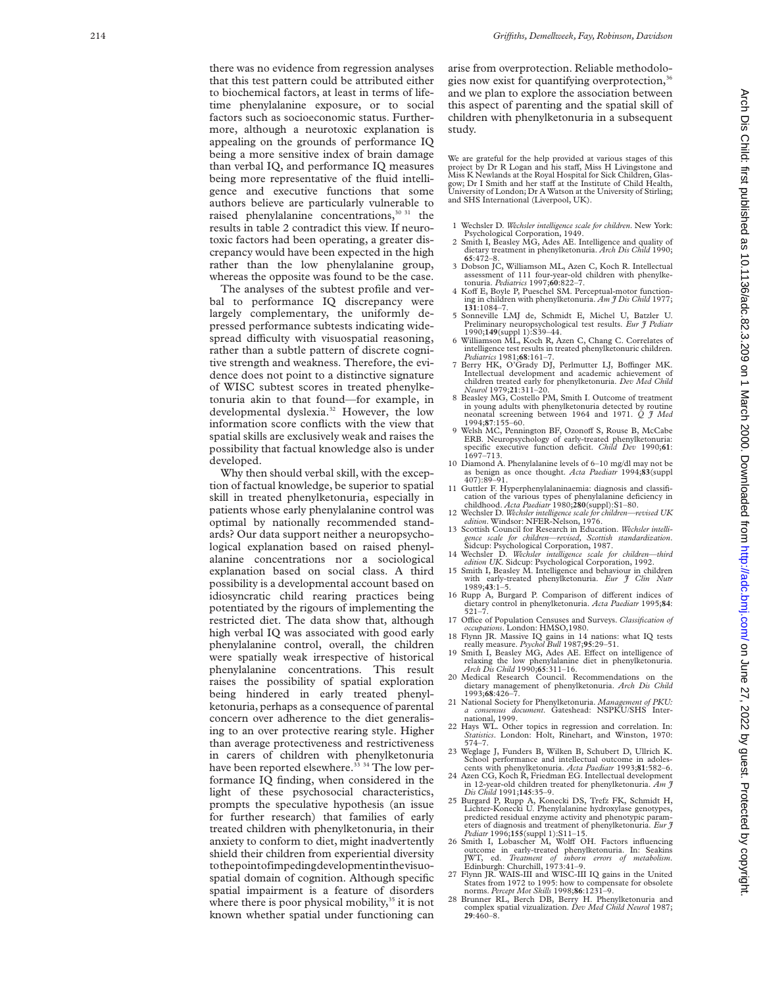there was no evidence from regression analyses that this test pattern could be attributed either to biochemical factors, at least in terms of lifetime phenylalanine exposure, or to social factors such as socioeconomic status. Furthermore, although a neurotoxic explanation is appealing on the grounds of performance IQ being a more sensitive index of brain damage than verbal IQ, and performance IQ measures being more representative of the fluid intelligence and executive functions that some authors believe are particularly vulnerable to raised phenylalanine concentrations, $30\,31$  the results in table 2 contradict this view. If neurotoxic factors had been operating, a greater discrepancy would have been expected in the high rather than the low phenylalanine group, whereas the opposite was found to be the case.

The analyses of the subtest profile and verbal to performance IQ discrepancy were largely complementary, the uniformly depressed performance subtests indicating widespread difficulty with visuospatial reasoning, rather than a subtle pattern of discrete cognitive strength and weakness. Therefore, the evidence does not point to a distinctive signature of WISC subtest scores in treated phenylketonuria akin to that found—for example, in developmental dyslexia.<sup>32</sup> However, the low information score conflicts with the view that spatial skills are exclusively weak and raises the possibility that factual knowledge also is under developed.

Why then should verbal skill, with the exception of factual knowledge, be superior to spatial skill in treated phenylketonuria, especially in patients whose early phenylalanine control was optimal by nationally recommended standards? Our data support neither a neuropsychological explanation based on raised phenylalanine concentrations nor a sociological explanation based on social class. A third possibility is a developmental account based on idiosyncratic child rearing practices being potentiated by the rigours of implementing the restricted diet. The data show that, although high verbal IQ was associated with good early phenylalanine control, overall, the children were spatially weak irrespective of historical phenylalanine concentrations. This result raises the possibility of spatial exploration being hindered in early treated phenylketonuria, perhaps as a consequence of parental concern over adherence to the diet generalising to an over protective rearing style. Higher than average protectiveness and restrictiveness in carers of children with phenylketonuria have been reported elsewhere.<sup>33 34</sup> The low performance IQ finding, when considered in the light of these psychosocial characteristics, prompts the speculative hypothesis (an issue for further research) that families of early treated children with phenylketonuria, in their anxiety to conform to diet, might inadvertently shield their children from experiential diversity tothepointofimpedingdevelopmentinthevisuospatial domain of cognition. Although specific spatial impairment is a feature of disorders where there is poor physical mobility, $35$  it is not known whether spatial under functioning can

arise from overprotection. Reliable methodologies now exist for quantifying overprotection, $36$ and we plan to explore the association between this aspect of parenting and the spatial skill of children with phenylketonuria in a subsequent study.

We are grateful for the help provided at various stages of this<br>project by Dr R Logan and his staff, Miss H Livingstone and Miss K Newlands at the Royal Hospital for Sick Children, Glasgow; Dr I Smith and her staff at the Institute of Child Health, University of London; Dr A Watson at the University of Stirling; and SHS International (Liverpool, UK).

- 1 Wechsler D. *Wechsler intelligence scale for children*. New York: Psychological Corporation, 1949.
- 2 Smith I, Beasley MG, Ades AE. Intelligence and quality of dietary treatment in phenylketonuria. *Arch Dis Child* 1990;  $65.472 - 8$
- 3 Dobson JC, Williamson ML, Azen C, Koch R. Intellectual assessment of 111 four-year-old children with phenylke-tonuria. *Pediatrics* 1997;**60**:822–7.
- 4 Koff E, Boyle P, Pueschel SM. Perceptual-motor functioning in children with phenylketonuria. *Am J Dis Child* 1977; **131**:1084–7.
- 5 Sonneville LMJ de, Schmidt E, Michel U, Batzler U. Preliminary neuropsychological test results. *Eur J Pediatr* 1990;**149**(suppl 1):S39–44.
- 6 Williamson ML, Koch R, Azen C, Chang C. Correlates of intelligence test results in treated phenylketonuric children. *Pediatrics* 1981;**68**:161–7.
- 7 Berry HK, O'Grady DJ, Perlmutter LJ, Boffinger MK. Intellectual development and academic achievement of children treated early for phenylketonuria. *Dev Med Child Neurol* 1979;**21**:311–20.
- 8 Beasley MG, Costello PM, Smith I. Outcome of treatment in young adults with phenylketonuria detected by routine neonatal screening between 1964 and 1971. *Q J Med* 1994;**87**:155–60.
- 9 Welsh MC, Pennington BF, Ozonoff S, Rouse B, McCabe ERB. Neuropsychology of early-treated phenylketonuria: specific executive function deficit. *Child Dev* 1990;**61** : 1697–713.
- 10 Diamond A. Phenylalanine levels of 6–10 mg/dl may not be as benign as once thought. *Acta Paediatr* 1994;**83**(suppl 407):89–91.
- 11 Guttler F. Hyperphenylalaninaemia: diagnosis and classification of the various types of phenylalanine deficiency in childhood. *Acta Paediatr* 1980;**280**(suppl):S1–80. 12 Wechsler D. *Wechsler intelligence scale for children—revised UK*
- *edition*. Windsor: NFER-Nelson, 1976.
- 13 Scottish Council for Research in Education. *Wechsler intelli*gence scale for children—revised, Scottish standardization.<br>Sicleup: Psychological Corporation, 1987.<br>14 Wechsler D. Wechsler intelligence scale for children—third<br>edition UK. Sidcup: Psychological Corporation, 1992.
- 
- 15 Smith I, Beasley M. Intelligence and behaviour in children with early-treated phenylketonuria. *Eur J Clin Nutr* 1989;**43**:1–5.
- 16 Rupp A, Burgard P. Comparison of different indices of dietary control in phenylketonuria. *Acta Paediatr* 1995;84: 521–7.
- 17 Office of Population Censuses and Surveys. *Classification of occupations*. London: HMSO,1980.
- 18 Flynn JR. Massive IQ gains in 14 nations: what IQ tests really measure. *Psychol Bull* 1987;**95**:29–51.
- 19 Smith I, Beasley MG, Ades AE. Effect on intelligence of relaxing the low phenylalanine diet in phenylketonuria. *Arch Dis Child* 1990;**65**:311–16.
- 20 Medical Research Council. Recommendations on the dietary management of phenylketonuria. *Arch Dis Child* 1993;**68**:426–7.
- 21 National Society for Phenylketonuria. *Management of PKU: a consensus document*. Gateshead: NSPKU/SHS Inter-
- national, 1999. 22 Hays WL. Other topics in regression and correlation. In: *Statistics*. London: Holt, Rinehart, and Winston, 1970: 574–7.
- 23 Weglage J, Funders B, Wilken B, Schubert D, Ullrich K. School performance and intellectual outcome in adoles-cents with phenylketonuria. *Acta Paediatr* 1993;**81**:582–6.
- 24 Azen CG, Koch R, Friedman EG. Intellectual development in 12-year-old children treated for phenylketonuria. *Am J Dis Child* 1991;**145**:35–9.
- 25 Burgard P, Rupp A, Konecki DS, Trefz FK, Schmidt H, Lichter-Konecki U. Phenylalanine hydroxylase genotypes, predicted residual enzyme activity and phenotypic parameters of diagnosis and treatment of phenylketonuria. *Eur J*
- Pediatr 1996;155(suppl 1):S11-15.<br>26 Smith I, Lobascher M, Wolff OH. Factors influencing outcome in early-treated phenylketonuria. In: Seakins JWT, ed. *Treatment of inborn errors of metabolism* . Edinburgh: Churchill, 1973:41–9.
- 27 Flynn JR. WAIS-III and WISC-III IQ gains in the United States from 1972 to 1995: how to compensate for obsolete norms. *Percept Mot Skills* 1998;86:1231–9.<br>28 Brunner RL, Berch DB, Berry H. Phen
- 28 Brunner RL, Berch DB, Berry H. Phenylketonuria and complex spatial vizualization. *Dev Med Child Neurol* 1987; **29**:460–8.